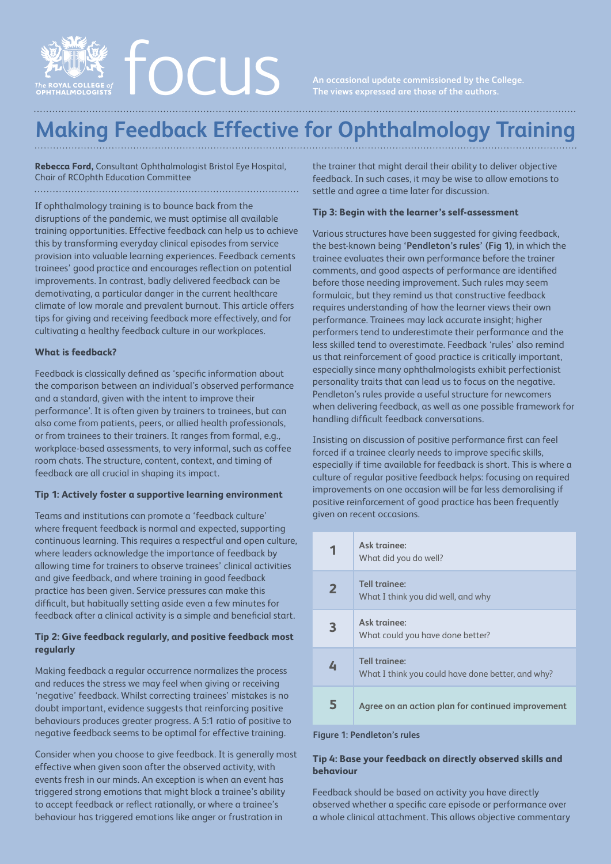

# **Making Feedback Effective for Ophthalmology Training**

**Rebecca Ford,** Consultant Ophthalmologist Bristol Eye Hospital, Chair of RCOphth Education Committee

If ophthalmology training is to bounce back from the disruptions of the pandemic, we must optimise all available training opportunities. Effective feedback can help us to achieve this by transforming everyday clinical episodes from service provision into valuable learning experiences. Feedback cements trainees' good practice and encourages reflection on potential improvements. In contrast, badly delivered feedback can be demotivating, a particular danger in the current healthcare climate of low morale and prevalent burnout. This article offers tips for giving and receiving feedback more effectively, and for cultivating a healthy feedback culture in our workplaces.

## **What is feedback?**

Feedback is classically defined as 'specific information about the comparison between an individual's observed performance and a standard, given with the intent to improve their performance'. It is often given by trainers to trainees, but can also come from patients, peers, or allied health professionals, or from trainees to their trainers. It ranges from formal, e.g., workplace-based assessments, to very informal, such as coffee room chats. The structure, content, context, and timing of feedback are all crucial in shaping its impact.

### **Tip 1: Actively foster a supportive learning environment**

Teams and institutions can promote a 'feedback culture' where frequent feedback is normal and expected, supporting continuous learning. This requires a respectful and open culture, where leaders acknowledge the importance of feedback by allowing time for trainers to observe trainees' clinical activities and give feedback, and where training in good feedback practice has been given. Service pressures can make this difficult, but habitually setting aside even a few minutes for feedback after a clinical activity is a simple and beneficial start.

## **Tip 2: Give feedback regularly, and positive feedback most regularly**

Making feedback a regular occurrence normalizes the process and reduces the stress we may feel when giving or receiving 'negative' feedback. Whilst correcting trainees' mistakes is no doubt important, evidence suggests that reinforcing positive behaviours produces greater progress. A 5:1 ratio of positive to negative feedback seems to be optimal for effective training.

Consider when you choose to give feedback. It is generally most effective when given soon after the observed activity, with events fresh in our minds. An exception is when an event has triggered strong emotions that might block a trainee's ability to accept feedback or reflect rationally, or where a trainee's behaviour has triggered emotions like anger or frustration in

the trainer that might derail their ability to deliver objective feedback. In such cases, it may be wise to allow emotions to settle and agree a time later for discussion.

## **Tip 3: Begin with the learner's self-assessment**

Various structures have been suggested for giving feedback, the best-known being **'Pendleton's rules' (Fig 1)**, in which the trainee evaluates their own performance before the trainer comments, and good aspects of performance are identified before those needing improvement. Such rules may seem formulaic, but they remind us that constructive feedback requires understanding of how the learner views their own performance. Trainees may lack accurate insight; higher performers tend to underestimate their performance and the less skilled tend to overestimate. Feedback 'rules' also remind us that reinforcement of good practice is critically important, especially since many ophthalmologists exhibit perfectionist personality traits that can lead us to focus on the negative. Pendleton's rules provide a useful structure for newcomers when delivering feedback, as well as one possible framework for handling difficult feedback conversations.

Insisting on discussion of positive performance first can feel forced if a trainee clearly needs to improve specific skills, especially if time available for feedback is short. This is where a culture of regular positive feedback helps: focusing on required improvements on one occasion will be far less demoralising if positive reinforcement of good practice has been frequently given on recent occasions.

| 1              | Ask trainee:<br>What did you do well?                              |
|----------------|--------------------------------------------------------------------|
| $\overline{2}$ | Tell trainee:<br>What I think you did well, and why                |
| 3              | Ask trainee:<br>What could you have done better?                   |
| 4              | Tell trainee:<br>What I think you could have done better, and why? |
| 5              | Agree on an action plan for continued improvement                  |

#### **Figure 1: Pendleton's rules**

## **Tip 4: Base your feedback on directly observed skills and behaviour**

Feedback should be based on activity you have directly observed whether a specific care episode or performance over a whole clinical attachment. This allows objective commentary